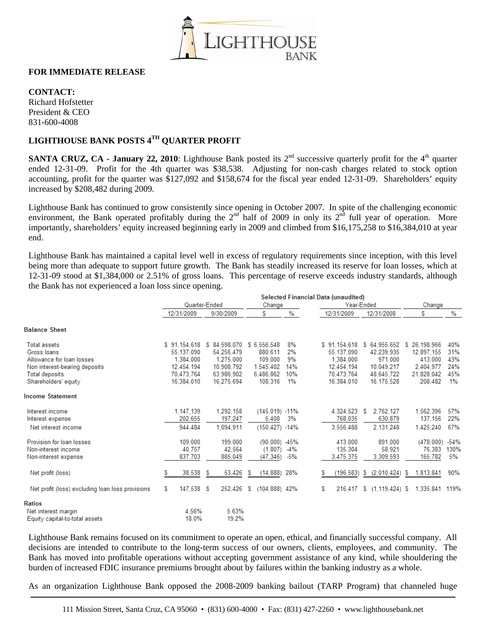

## **FOR IMMEDIATE RELEASE**

**CONTACT:** 

Richard Hofstetter President & CEO 831-600-4008

## **LIGHTHOUSE BANK POSTS 4TH QUARTER PROFIT**

**SANTA CRUZ, CA - January 22, 2010**: Lighthouse Bank posted its 2<sup>nd</sup> successive quarterly profit for the 4<sup>th</sup> quarter ended 12-31-09. Profit for the 4th quarter was \$38,538. Adjusting for non-cash charges related to stock option accounting, profit for the quarter was \$127,092 and \$158,674 for the fiscal year ended 12-31-09. Shareholders' equity increased by \$208,482 during 2009.

Lighthouse Bank has continued to grow consistently since opening in October 2007. In spite of the challenging economic environment, the Bank operated profitably during the  $2<sup>nd</sup>$  half of 2009 in only its  $2<sup>nd</sup>$  full year of operation. More importantly, shareholders' equity increased beginning early in 2009 and climbed from \$16,175,258 to \$16,384,010 at year end.

Lighthouse Bank has maintained a capital level well in excess of regulatory requirements since inception, with this level being more than adequate to support future growth. The Bank has steadily increased its reserve for loan losses, which at 12-31-09 stood at \$1,384,000 or 2.51% of gross loans. This percentage of reserve exceeds industry standards, although the Bank has not experienced a loan loss since opening.

|                                                                                                                                     | Selected Financial Data (unaudited)                                               |                                                                                   |                                                                        |                                       |                                                                                   |                                                                                 |                                                                             |                                          |
|-------------------------------------------------------------------------------------------------------------------------------------|-----------------------------------------------------------------------------------|-----------------------------------------------------------------------------------|------------------------------------------------------------------------|---------------------------------------|-----------------------------------------------------------------------------------|---------------------------------------------------------------------------------|-----------------------------------------------------------------------------|------------------------------------------|
|                                                                                                                                     | Quarter-Ended                                                                     |                                                                                   | Change                                                                 |                                       | Year-Ended                                                                        |                                                                                 | Change                                                                      |                                          |
|                                                                                                                                     | 12/31/2009                                                                        | 9/30/2009                                                                         | S                                                                      | %                                     | 12/31/2009                                                                        | 12/31/2008                                                                      | S                                                                           | %                                        |
| <b>Balance Sheet</b>                                                                                                                |                                                                                   |                                                                                   |                                                                        |                                       |                                                                                   |                                                                                 |                                                                             |                                          |
| Total assets<br>Gross Ioans<br>Allowance for loan losses<br>Non interest-bearing deposits<br>Total deposits<br>Shareholders' equity | \$91.154.618<br>55.137.090<br>1.384.000<br>12.454.194<br>70.473.764<br>16.384.010 | \$84.598.070<br>54.256.479<br>1.275.000<br>10.908.792<br>63.986.902<br>16.275.694 | \$6.556.548<br>880,611<br>109.000<br>1.545.402<br>6.486.862<br>108.316 | 8%<br>2%<br>9%<br>14%<br>10%<br>$1\%$ | \$91.154.618<br>55.137.090<br>1.384.000<br>12.454.194<br>70.473.764<br>16.384.010 | \$64.955.652<br>42.239.935<br>971.000<br>10.049.217<br>48.645.722<br>16.175.528 | \$26.198.966<br>12.897.155<br>413.000<br>2.404.977<br>21.828,042<br>208.482 | 40%<br>31%<br>43%<br>24%<br>45%<br>$1\%$ |
| Income Statement                                                                                                                    |                                                                                   |                                                                                   |                                                                        |                                       |                                                                                   |                                                                                 |                                                                             |                                          |
| Interest income<br>Interest expense<br>Net interest income                                                                          | 1.147.139<br>202.655<br>944.484                                                   | 1.292.158<br>197,247<br>1,094,911                                                 | (145.019)<br>5.408<br>(150, 427)                                       | $-11%$<br>3%<br>$-14%$                | 4.324.523<br>768.035<br>3,556,488                                                 | 2.762.127<br>S<br>630.879<br>2.131.248                                          | 1.562.396<br>137.156<br>1.425.240                                           | 57%<br>22%<br>67%                        |
| Provision for loan losses<br>Non-interest income<br>Non-interest expense                                                            | 109.000<br>40.757<br>837,703                                                      | 199.000<br>42.564<br>885,049                                                      | (90,000)<br>(1.807)<br>(47, 346)                                       | $-45%$<br>$-4%$<br>-5%                | 413.000<br>135.304<br>3,475,375                                                   | 891.000<br>58.921<br>3,309,593                                                  | (478,000)<br>76.383<br>165,782                                              | $-54%$<br>130%<br>5%                     |
| Net profit (loss)                                                                                                                   | 38,538<br>S                                                                       | 53,426<br>S                                                                       | (14,888)<br>S                                                          | 28%                                   | (196,583)                                                                         | (2,010,424)<br>S                                                                | 1,813,841<br>S                                                              | 90%                                      |
| Net profit (loss) excluding loan loss provisions                                                                                    | 147,538<br>S                                                                      | S<br>252,426                                                                      | $(104, 888)$ 42%<br>S                                                  |                                       | S<br>216.417                                                                      | $(1, 119, 424)$ \$<br>S                                                         | 1,335,841                                                                   | 119%                                     |
| Ratios                                                                                                                              |                                                                                   |                                                                                   |                                                                        |                                       |                                                                                   |                                                                                 |                                                                             |                                          |
| Net interest margin<br>Equity capital-to-total assets                                                                               | 4.56%<br>18.0%                                                                    | 5.63%<br>19.2%                                                                    |                                                                        |                                       |                                                                                   |                                                                                 |                                                                             |                                          |

Lighthouse Bank remains focused on its commitment to operate an open, ethical, and financially successful company. All decisions are intended to contribute to the long-term success of our owners, clients, employees, and community. The Bank has moved into profitable operations without accepting government assistance of any kind, while shouldering the burden of increased FDIC insurance premiums brought about by failures within the banking industry as a whole.

As an organization Lighthouse Bank opposed the 2008-2009 banking bailout (TARP Program) that channeled huge